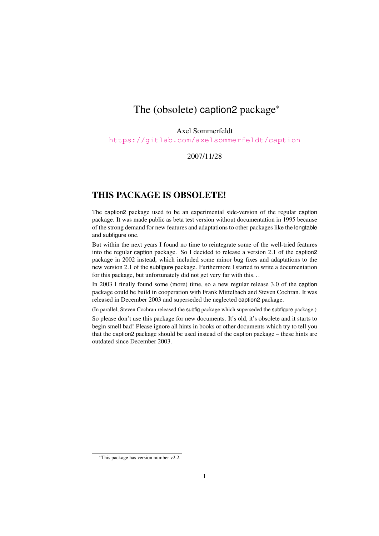# The (obsolete) caption2 package<sup>∗</sup>

#### Axel Sommerfeldt

<https://gitlab.com/axelsommerfeldt/caption>

### 2007/11/28

## THIS PACKAGE IS OBSOLETE!

The caption2 package used to be an experimental side-version of the regular caption package. It was made public as beta test version without documentation in 1995 because of the strong demand for new features and adaptations to other packages like the longtable and subfigure one.

But within the next years I found no time to reintegrate some of the well-tried features into the regular caption package. So I decided to release a version 2.1 of the caption2 package in 2002 instead, which included some minor bug fixes and adaptations to the new version 2.1 of the subfigure package. Furthermore I started to write a documentation for this package, but unfortunately did not get very far with this. . .

In 2003 I finally found some (more) time, so a new regular release 3.0 of the caption package could be build in cooperation with Frank Mittelbach and Steven Cochran. It was released in December 2003 and superseded the neglected caption2 package.

(In parallel, Steven Cochran released the subfig package which superseded the subfigure package.)

So please don't use this package for new documents. It's old, it's obsolete and it starts to begin smell bad! Please ignore all hints in books or other documents which try to tell you that the caption2 package should be used instead of the caption package – these hints are outdated since December 2003.

<sup>∗</sup>This package has version number v2.2.